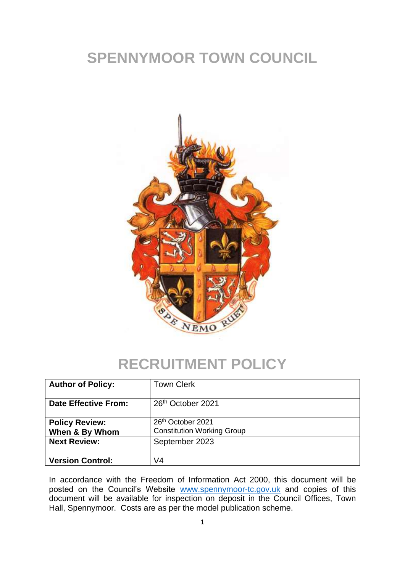# **SPENNYMOOR TOWN COUNCIL**



## **RECRUITMENT POLICY**

| <b>Author of Policy:</b>                | <b>Town Clerk</b>                                                  |
|-----------------------------------------|--------------------------------------------------------------------|
| <b>Date Effective From:</b>             | 26 <sup>th</sup> October 2021                                      |
| <b>Policy Review:</b><br>When & By Whom | 26 <sup>th</sup> October 2021<br><b>Constitution Working Group</b> |
| <b>Next Review:</b>                     | September 2023                                                     |
| <b>Version Control:</b>                 | V4                                                                 |

In accordance with the Freedom of Information Act 2000, this document will be posted on the Council's Website [www.spennymoor-tc.gov.uk](http://www.spennymoor-tc.gov.uk/) and copies of this document will be available for inspection on deposit in the Council Offices, Town Hall, Spennymoor. Costs are as per the model publication scheme.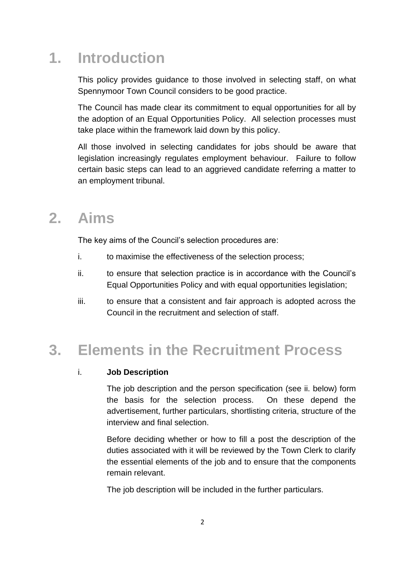## **1. Introduction**

This policy provides guidance to those involved in selecting staff, on what Spennymoor Town Council considers to be good practice.

The Council has made clear its commitment to equal opportunities for all by the adoption of an Equal Opportunities Policy. All selection processes must take place within the framework laid down by this policy.

All those involved in selecting candidates for jobs should be aware that legislation increasingly regulates employment behaviour. Failure to follow certain basic steps can lead to an aggrieved candidate referring a matter to an employment tribunal.

### **2. Aims**

The key aims of the Council's selection procedures are:

- i. to maximise the effectiveness of the selection process;
- ii. to ensure that selection practice is in accordance with the Council's Equal Opportunities Policy and with equal opportunities legislation;
- iii. to ensure that a consistent and fair approach is adopted across the Council in the recruitment and selection of staff.

## **3. Elements in the Recruitment Process**

### i. **Job Description**

The job description and the person specification (see ii. below) form the basis for the selection process. On these depend the advertisement, further particulars, shortlisting criteria, structure of the interview and final selection.

Before deciding whether or how to fill a post the description of the duties associated with it will be reviewed by the Town Clerk to clarify the essential elements of the job and to ensure that the components remain relevant.

The job description will be included in the further particulars.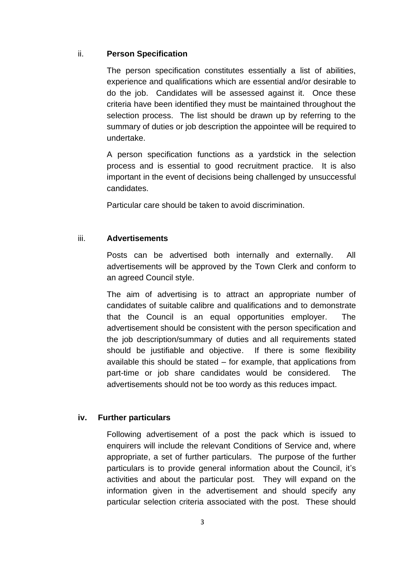#### ii. **Person Specification**

The person specification constitutes essentially a list of abilities, experience and qualifications which are essential and/or desirable to do the job. Candidates will be assessed against it. Once these criteria have been identified they must be maintained throughout the selection process. The list should be drawn up by referring to the summary of duties or job description the appointee will be required to undertake.

A person specification functions as a yardstick in the selection process and is essential to good recruitment practice. It is also important in the event of decisions being challenged by unsuccessful candidates.

Particular care should be taken to avoid discrimination.

### iii. **Advertisements**

Posts can be advertised both internally and externally. All advertisements will be approved by the Town Clerk and conform to an agreed Council style.

The aim of advertising is to attract an appropriate number of candidates of suitable calibre and qualifications and to demonstrate that the Council is an equal opportunities employer. The advertisement should be consistent with the person specification and the job description/summary of duties and all requirements stated should be justifiable and objective. If there is some flexibility available this should be stated – for example, that applications from part-time or job share candidates would be considered. The advertisements should not be too wordy as this reduces impact.

### **iv. Further particulars**

Following advertisement of a post the pack which is issued to enquirers will include the relevant Conditions of Service and, where appropriate, a set of further particulars. The purpose of the further particulars is to provide general information about the Council, it's activities and about the particular post. They will expand on the information given in the advertisement and should specify any particular selection criteria associated with the post. These should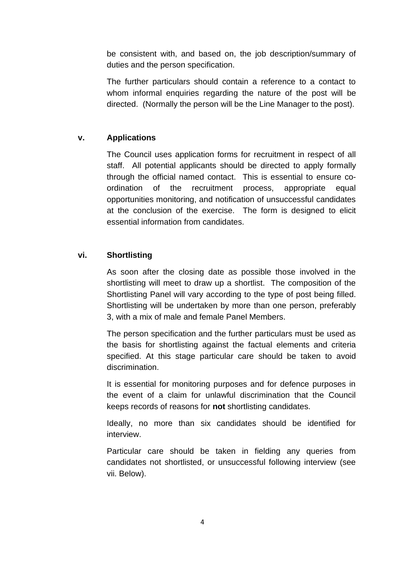be consistent with, and based on, the job description/summary of duties and the person specification.

The further particulars should contain a reference to a contact to whom informal enquiries regarding the nature of the post will be directed. (Normally the person will be the Line Manager to the post).

### **v. Applications**

The Council uses application forms for recruitment in respect of all staff. All potential applicants should be directed to apply formally through the official named contact. This is essential to ensure coordination of the recruitment process, appropriate equal opportunities monitoring, and notification of unsuccessful candidates at the conclusion of the exercise. The form is designed to elicit essential information from candidates.

### **vi. Shortlisting**

As soon after the closing date as possible those involved in the shortlisting will meet to draw up a shortlist. The composition of the Shortlisting Panel will vary according to the type of post being filled. Shortlisting will be undertaken by more than one person, preferably 3, with a mix of male and female Panel Members.

The person specification and the further particulars must be used as the basis for shortlisting against the factual elements and criteria specified. At this stage particular care should be taken to avoid discrimination.

It is essential for monitoring purposes and for defence purposes in the event of a claim for unlawful discrimination that the Council keeps records of reasons for **not** shortlisting candidates.

Ideally, no more than six candidates should be identified for interview.

Particular care should be taken in fielding any queries from candidates not shortlisted, or unsuccessful following interview (see vii. Below).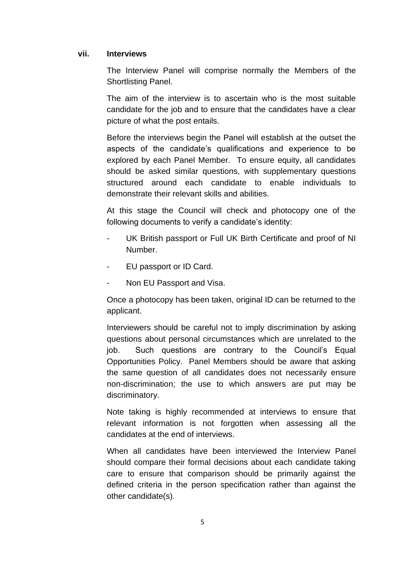#### **vii. Interviews**

The Interview Panel will comprise normally the Members of the Shortlisting Panel.

The aim of the interview is to ascertain who is the most suitable candidate for the job and to ensure that the candidates have a clear picture of what the post entails.

Before the interviews begin the Panel will establish at the outset the aspects of the candidate's qualifications and experience to be explored by each Panel Member. To ensure equity, all candidates should be asked similar questions, with supplementary questions structured around each candidate to enable individuals to demonstrate their relevant skills and abilities.

At this stage the Council will check and photocopy one of the following documents to verify a candidate's identity:

- UK British passport or Full UK Birth Certificate and proof of NI Number.
- EU passport or ID Card.
- Non EU Passport and Visa.

Once a photocopy has been taken, original ID can be returned to the applicant.

Interviewers should be careful not to imply discrimination by asking questions about personal circumstances which are unrelated to the job. Such questions are contrary to the Council's Equal Opportunities Policy. Panel Members should be aware that asking the same question of all candidates does not necessarily ensure non-discrimination; the use to which answers are put may be discriminatory.

Note taking is highly recommended at interviews to ensure that relevant information is not forgotten when assessing all the candidates at the end of interviews.

When all candidates have been interviewed the Interview Panel should compare their formal decisions about each candidate taking care to ensure that comparison should be primarily against the defined criteria in the person specification rather than against the other candidate(s).